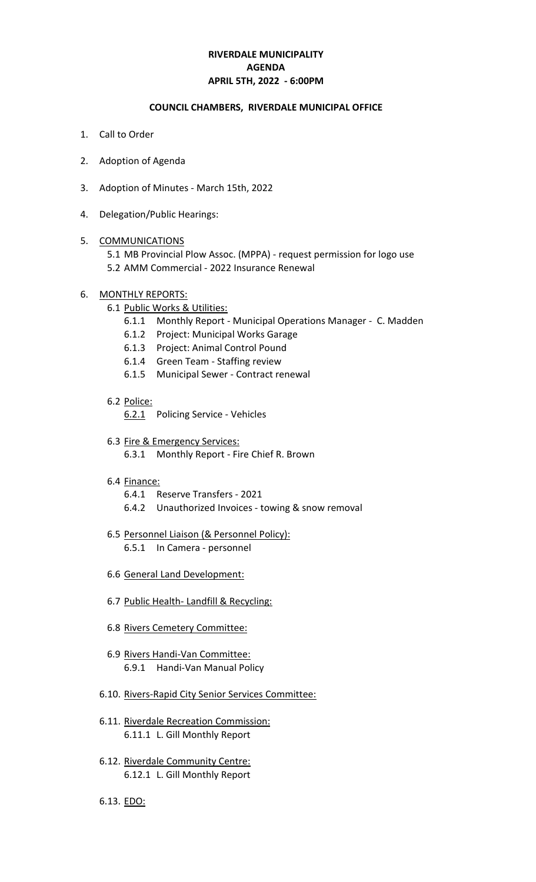## **RIVERDALE MUNICIPALITY APRIL 5TH, 2022 - 6:00PM AGENDA**

#### **COUNCIL CHAMBERS, RIVERDALE MUNICIPAL OFFICE**

- 1. Call to Order
- 2. Adoption of Agenda
- 3. Adoption of Minutes March 15th, 2022
- 4. Delegation/Public Hearings:

#### 5. COMMUNICATIONS

5.1 MB Provincial Plow Assoc. (MPPA) - request permission for logo use 5.2 AMM Commercial - 2022 Insurance Renewal

### 6. MONTHLY REPORTS:

- 6.1 Public Works & Utilities:
	- 6.1.1 Monthly Report Municipal Operations Manager C. Madden
	- 6.1.2 Project: Municipal Works Garage
	- 6.1.3 Project: Animal Control Pound
	- 6.1.4 Green Team Staffing review
	- 6.1.5 Municipal Sewer Contract renewal
- 6.2 Police:

6.2.1 Policing Service - Vehicles

- 6.3 Fire & Emergency Services: 6.3.1 Monthly Report - Fire Chief R. Brown
- 6.4 Finance:
	- 6.4.1 Reserve Transfers 2021
	- 6.4.2 Unauthorized Invoices towing & snow removal
- 6.5 Personnel Liaison (& Personnel Policy):
	- 6.5.1 In Camera personnel
- 6.6 General Land Development:
- 6.7 Public Health- Landfill & Recycling:
- 6.8 Rivers Cemetery Committee:
- 6.9 Rivers Handi-Van Committee: 6.9.1 Handi-Van Manual Policy
- 6.10. Rivers-Rapid City Senior Services Committee:
- 6.11. Riverdale Recreation Commission: 6.11.1 L. Gill Monthly Report
- 6.12. Riverdale Community Centre: 6.12.1 L. Gill Monthly Report
- 6.13. EDO: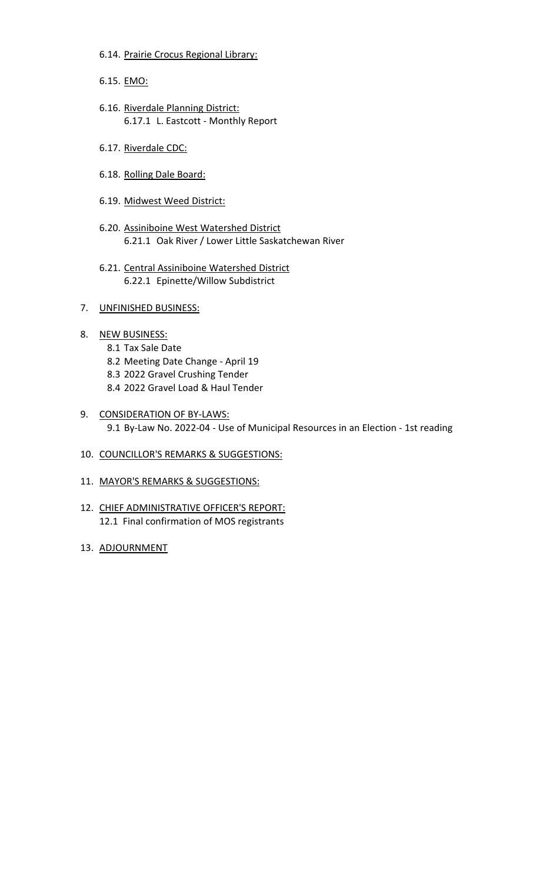- 6.14. Prairie Crocus Regional Library:
- 6.15. EMO:
- 6.16. Riverdale Planning District: 6.17.1 L. Eastcott - Monthly Report
- 6.17. Riverdale CDC:
- 6.18. Rolling Dale Board:
- 6.19. Midwest Weed District:
- 6.20. Assiniboine West Watershed District 6.21.1 Oak River / Lower Little Saskatchewan River
- 6.21. Central Assiniboine Watershed District 6.22.1 Epinette/Willow Subdistrict
- 7. UNFINISHED BUSINESS:
- 8. NEW BUSINESS:
	- 8.1 Tax Sale Date
	- 8.2 Meeting Date Change April 19
	- 8.3 2022 Gravel Crushing Tender
	- 8.4 2022 Gravel Load & Haul Tender
- 9. CONSIDERATION OF BY-LAWS: 9.1 By-Law No. 2022-04 - Use of Municipal Resources in an Election - 1st reading
- 10. COUNCILLOR'S REMARKS & SUGGESTIONS:
- 11. MAYOR'S REMARKS & SUGGESTIONS:
- 12. CHIEF ADMINISTRATIVE OFFICER'S REPORT: 12.1 Final confirmation of MOS registrants
- 13. ADJOURNMENT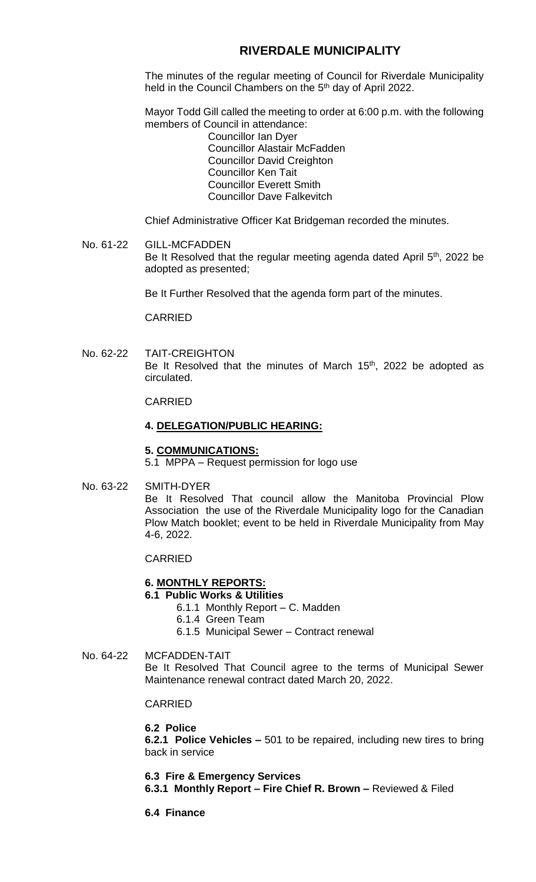# **RIVERDALE MUNICIPALITY**

The minutes of the regular meeting of Council for Riverdale Municipality held in the Council Chambers on the 5<sup>th</sup> day of April 2022.

Mayor Todd Gill called the meeting to order at 6:00 p.m. with the following members of Council in attendance:

Councillor Ian Dyer Councillor Alastair McFadden Councillor David Creighton Councillor Ken Tait Councillor Everett Smith Councillor Dave Falkevitch

Chief Administrative Officer Kat Bridgeman recorded the minutes.

No. 61-22 GILL-MCFADDEN Be It Resolved that the regular meeting agenda dated April 5<sup>th</sup>, 2022 be adopted as presented;

Be It Further Resolved that the agenda form part of the minutes.

CARRIED

No. 62-22 TAIT-CREIGHTON Be It Resolved that the minutes of March 15<sup>th</sup>, 2022 be adopted as circulated.

CARRIED

#### **4. DELEGATION/PUBLIC HEARING:**

#### **5. COMMUNICATIONS:**

5.1 MPPA – Request permission for logo use

No. 63-22 SMITH-DYER

Be It Resolved That council allow the Manitoba Provincial Plow Association the use of the Riverdale Municipality logo for the Canadian Plow Match booklet; event to be held in Riverdale Municipality from May 4-6, 2022.

CARRIED

#### **6. MONTHLY REPORTS:**

## **6.1 Public Works & Utilities**

- 6.1.1 Monthly Report C. Madden
- 6.1.4 Green Team
- 6.1.5 Municipal Sewer Contract renewal

No. 64-22 MCFADDEN-TAIT Be It Resolved That Council agree to the terms of Municipal Sewer Maintenance renewal contract dated March 20, 2022.

### CARRIED

#### **6.2 Police**

**6.2.1 Police Vehicles –** 501 to be repaired, including new tires to bring back in service

**6.3 Fire & Emergency Services**

**6.3.1 Monthly Report – Fire Chief R. Brown –** Reviewed & Filed

**6.4 Finance**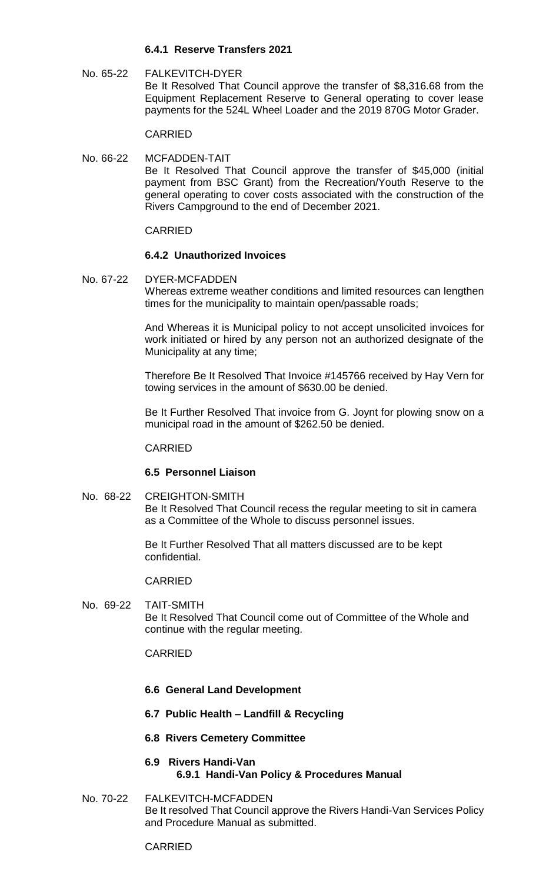## **6.4.1 Reserve Transfers 2021**

No. 65-22 FALKEVITCH-DYER Be It Resolved That Council approve the transfer of \$8,316.68 from the Equipment Replacement Reserve to General operating to cover lease payments for the 524L Wheel Loader and the 2019 870G Motor Grader.

CARRIED

No. 66-22 MCFADDEN-TAIT Be It Resolved That Council approve the transfer of \$45,000 (initial payment from BSC Grant) from the Recreation/Youth Reserve to the general operating to cover costs associated with the construction of the Rivers Campground to the end of December 2021.

### CARRIED

### **6.4.2 Unauthorized Invoices**

No. 67-22 DYER-MCFADDEN Whereas extreme weather conditions and limited resources can lengthen times for the municipality to maintain open/passable roads;

> And Whereas it is Municipal policy to not accept unsolicited invoices for work initiated or hired by any person not an authorized designate of the Municipality at any time;

> Therefore Be It Resolved That Invoice #145766 received by Hay Vern for towing services in the amount of \$630.00 be denied.

> Be It Further Resolved That invoice from G. Joynt for plowing snow on a municipal road in the amount of \$262.50 be denied.

#### CARRIED

### **6.5 Personnel Liaison**

No. 68-22 CREIGHTON-SMITH Be It Resolved That Council recess the regular meeting to sit in camera as a Committee of the Whole to discuss personnel issues.

> Be It Further Resolved That all matters discussed are to be kept confidential.

#### CARRIED

No. 69-22 TAIT-SMITH Be It Resolved That Council come out of Committee of the Whole and continue with the regular meeting.

### CARRIED

- **6.6 General Land Development**
- **6.7 Public Health – Landfill & Recycling**
- **6.8 Rivers Cemetery Committee**
- **6.9 Rivers Handi-Van 6.9.1 Handi-Van Policy & Procedures Manual**
- No. 70-22 FALKEVITCH-MCFADDEN Be It resolved That Council approve the Rivers Handi-Van Services Policy and Procedure Manual as submitted.

#### CARRIED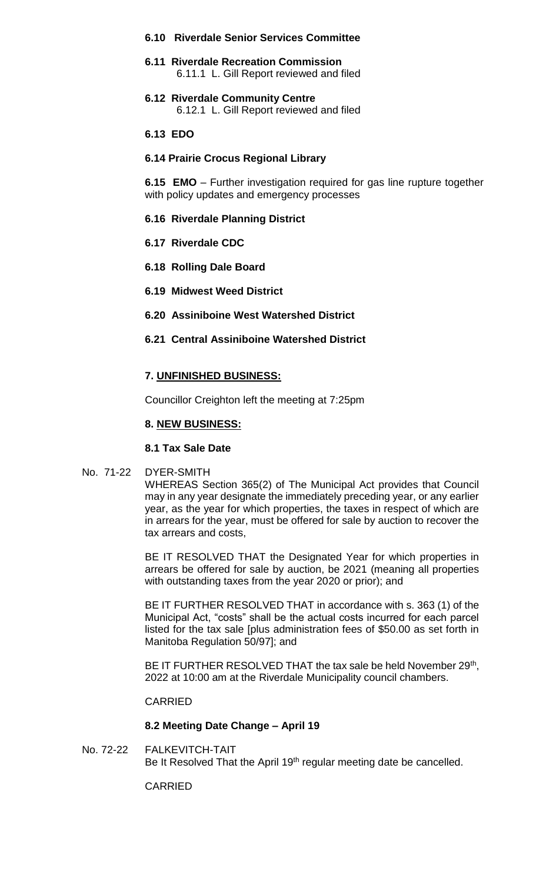### **6.10 Riverdale Senior Services Committee**

- **6.11 Riverdale Recreation Commission** 6.11.1 L. Gill Report reviewed and filed
- **6.12 Riverdale Community Centre** 6.12.1 L. Gill Report reviewed and filed

### **6.13 EDO**

### **6.14 Prairie Crocus Regional Library**

**6.15 EMO** – Further investigation required for gas line rupture together with policy updates and emergency processes

### **6.16 Riverdale Planning District**

- **6.17 Riverdale CDC**
- **6.18 Rolling Dale Board**
- **6.19 Midwest Weed District**
- **6.20 Assiniboine West Watershed District**

## **6.21 Central Assiniboine Watershed District**

#### **7. UNFINISHED BUSINESS:**

Councillor Creighton left the meeting at 7:25pm

### **8. NEW BUSINESS:**

## **8.1 Tax Sale Date**

#### No. 71-22 DYER-SMITH

WHEREAS Section 365(2) of The Municipal Act provides that Council may in any year designate the immediately preceding year, or any earlier year, as the year for which properties, the taxes in respect of which are in arrears for the year, must be offered for sale by auction to recover the tax arrears and costs,

BE IT RESOLVED THAT the Designated Year for which properties in arrears be offered for sale by auction, be 2021 (meaning all properties with outstanding taxes from the year 2020 or prior); and

BE IT FURTHER RESOLVED THAT in accordance with s. 363 (1) of the Municipal Act, "costs" shall be the actual costs incurred for each parcel listed for the tax sale [plus administration fees of \$50.00 as set forth in Manitoba Regulation 50/97]; and

BE IT FURTHER RESOLVED THAT the tax sale be held November  $29<sup>th</sup>$ , 2022 at 10:00 am at the Riverdale Municipality council chambers.

#### CARRIED

#### **8.2 Meeting Date Change – April 19**

No. 72-22 FALKEVITCH-TAIT Be It Resolved That the April 19<sup>th</sup> regular meeting date be cancelled.

CARRIED